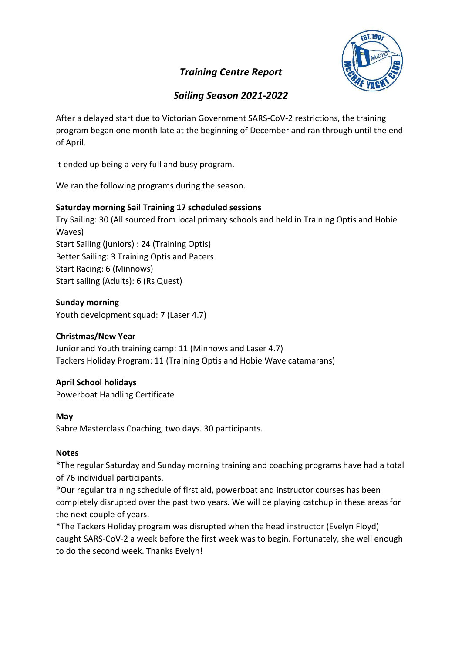# Training Centre Report



# Sailing Season 2021-2022

After a delayed start due to Victorian Government SARS-CoV-2 restrictions, the training program began one month late at the beginning of December and ran through until the end of April.

It ended up being a very full and busy program.

We ran the following programs during the season.

### Saturday morning Sail Training 17 scheduled sessions

Try Sailing: 30 (All sourced from local primary schools and held in Training Optis and Hobie Waves) Start Sailing (juniors) : 24 (Training Optis) Better Sailing: 3 Training Optis and Pacers Start Racing: 6 (Minnows) Start sailing (Adults): 6 (Rs Quest)

### Sunday morning

Youth development squad: 7 (Laser 4.7)

## Christmas/New Year

Junior and Youth training camp: 11 (Minnows and Laser 4.7) Tackers Holiday Program: 11 (Training Optis and Hobie Wave catamarans)

## April School holidays

Powerboat Handling Certificate

### May

Sabre Masterclass Coaching, two days. 30 participants.

### Notes

\*The regular Saturday and Sunday morning training and coaching programs have had a total of 76 individual participants.

\*Our regular training schedule of first aid, powerboat and instructor courses has been completely disrupted over the past two years. We will be playing catchup in these areas for the next couple of years.

\*The Tackers Holiday program was disrupted when the head instructor (Evelyn Floyd) caught SARS-CoV-2 a week before the first week was to begin. Fortunately, she well enough to do the second week. Thanks Evelyn!